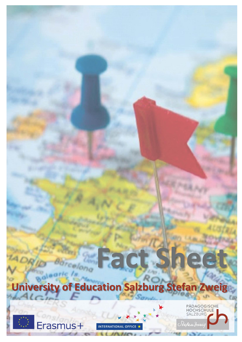

**Fact Sheet**





long

INTERNATIONAL OFFICE ★

**Julian** 

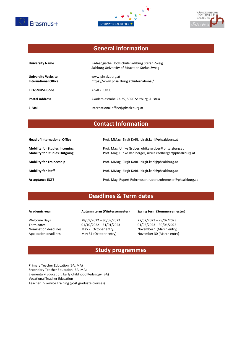





# **General Information**

| <b>University Name</b>                                   | Pädagogische Hochschule Salzburg Stefan Zweig<br>Salzburg University of Education Stefan Zweig |
|----------------------------------------------------------|------------------------------------------------------------------------------------------------|
| <b>University Website</b><br><b>International Office</b> | www.phsalzburg.at<br>https://www.phsalzburg.at/international/                                  |
| <b>ERASMUS+ Code</b>                                     | A SALZBUR03                                                                                    |
| <b>Postal Address</b>                                    | Akademiestraße 23-25, 5020 Salzburg, Austria                                                   |
| E-Mail                                                   | international.office@phsalzburg.at                                                             |

# **Contact Information**

| <b>Head of International Office</b>                                          | Prof. MMag. Birgit KARL, birgit.karl@phsalzburg.at                                                                     |
|------------------------------------------------------------------------------|------------------------------------------------------------------------------------------------------------------------|
| <b>Mobility for Studies Incoming</b><br><b>Mobility for Studies Outgoing</b> | Prof. Mag. Ulrike Gruber, ulrike.gruber@phsalzburg.at<br>Prof. Mag. Ulrike Radlberger, ulrike.radlberger@phsalzburg.at |
| <b>Mobility for Traineeship</b>                                              | Prof. MMag. Birgit KARL, birgit.karl@phsalzburg.at                                                                     |
| <b>Mobility for Staff</b>                                                    | Prof. MMag. Birgit KARL, birgit.karl@phsalzburg.at                                                                     |
| <b>Acceptance ECTS</b>                                                       | Prof. Mag. Rupert Rohrmoser, rupert.rohrmoser@phsalzburg.at                                                            |

# **Deadlines & Term dates**

Welcome Days 28/09/2022 – 30/09/2022 27/02/2023 – 28/02/2023<br>Term dates 01/10/2022 – 31/01/2023 01/03/2023 – 30/06/2023 Term dates 01/10/2022 – 31/01/2023<br>Nomination deadlines May 2 (October entry)

### **Academic year Autumn term (Wintersemester) Spring term (Sommersemester)**

November 1 (March entry) Application deadlines May 31 (October entry) November 30 (March entry)

### **Study programmes**

Primary Teacher Education (BA, MA) Secondary Teacher Education (BA, MA) Elementary Education; Early Childhood Pedagogy (BA) Vocational Teacher Education Teacher In-Service Training (post graduate courses)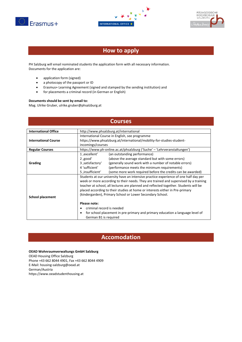





## **How to apply**

PH Salzburg will email nominated students the application form with all necessary information. Documents for the application are:

- application form (signed)
- a photocopy of the passport or ID
- Erasmus+ Learning Agreement (signed and stamped by the sending institution) and
- for placements a criminal record (in German or English)

#### **Documents should be sent by email to:**

Mag. Ulrike Gruber, ulrike.gruber@phsalzburg.at

### **Courses**

| <b>International Office</b> | http://www.phsalzburg.at/international                                               |  |
|-----------------------------|--------------------------------------------------------------------------------------|--|
|                             | International Course in English, see programme                                       |  |
| <b>International Course</b> | https://www.phsalzburg.at/international/mobility-for-studies-student-                |  |
|                             | incomings/courses                                                                    |  |
| <b>Regular Courses</b>      | https://www.ph-online.ac.at/phsalzburg ('Suche' - 'Lehrveranstaltungen')             |  |
|                             | 1,excellent'<br>(an outstanding performance)                                         |  |
|                             | (above the average standard but with some errors)<br>2,good'                         |  |
| Grading                     | (generally sound work with a number of notable errors)<br>3, satisfactory            |  |
|                             | 4 'sufficient'<br>(performance meets the minimum requirements)                       |  |
|                             | 5, insufficient'<br>(some more work required before the credits can be awarded)      |  |
|                             | Students at our university have an intensive practice experience of one half day per |  |
|                             | week or more according to their needs. They are trained and supervised by a training |  |
|                             | teacher at school, all lectures are planned and reflected together. Students will be |  |
|                             | placed according to their studies at home or interests either in Pre-primary         |  |
| <b>School placement</b>     | (kindergarden), Primary School or Lower Secondary School.                            |  |
|                             |                                                                                      |  |
|                             | Please note:                                                                         |  |
|                             | criminal record is needed                                                            |  |
|                             | for school placement in pre-primary and primary education a language level of        |  |
|                             | German B1 is required                                                                |  |

### **Accomodation**

### **OEAD Wohnraumverwaltungs GmbH Salzburg**

OEAD Housing Office Salzburg Phone +43 662 8044 4901, Fax +43 662 8044 4909 E-Mail[: housing-salzburg@oead.at](mailto:housing-salzburg@oead.at) German/Austria [https://www.oeadstudenthousing.at](https://www.oeadstudenthousing.at/)